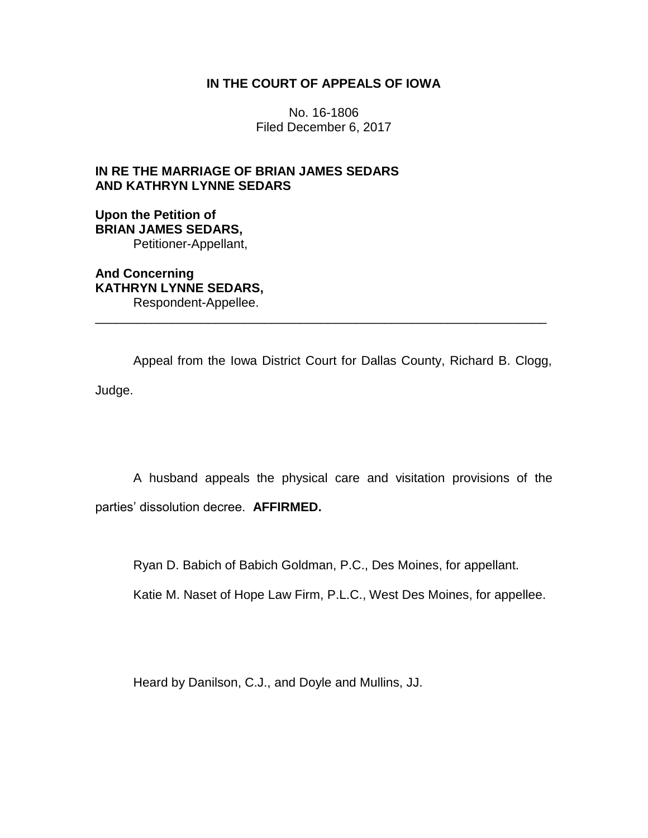## **IN THE COURT OF APPEALS OF IOWA**

No. 16-1806 Filed December 6, 2017

# **IN RE THE MARRIAGE OF BRIAN JAMES SEDARS AND KATHRYN LYNNE SEDARS**

## **Upon the Petition of BRIAN JAMES SEDARS,** Petitioner-Appellant,

**And Concerning KATHRYN LYNNE SEDARS,** Respondent-Appellee.

Appeal from the Iowa District Court for Dallas County, Richard B. Clogg, Judge.

\_\_\_\_\_\_\_\_\_\_\_\_\_\_\_\_\_\_\_\_\_\_\_\_\_\_\_\_\_\_\_\_\_\_\_\_\_\_\_\_\_\_\_\_\_\_\_\_\_\_\_\_\_\_\_\_\_\_\_\_\_\_\_\_

A husband appeals the physical care and visitation provisions of the parties' dissolution decree. **AFFIRMED.**

Ryan D. Babich of Babich Goldman, P.C., Des Moines, for appellant.

Katie M. Naset of Hope Law Firm, P.L.C., West Des Moines, for appellee.

Heard by Danilson, C.J., and Doyle and Mullins, JJ.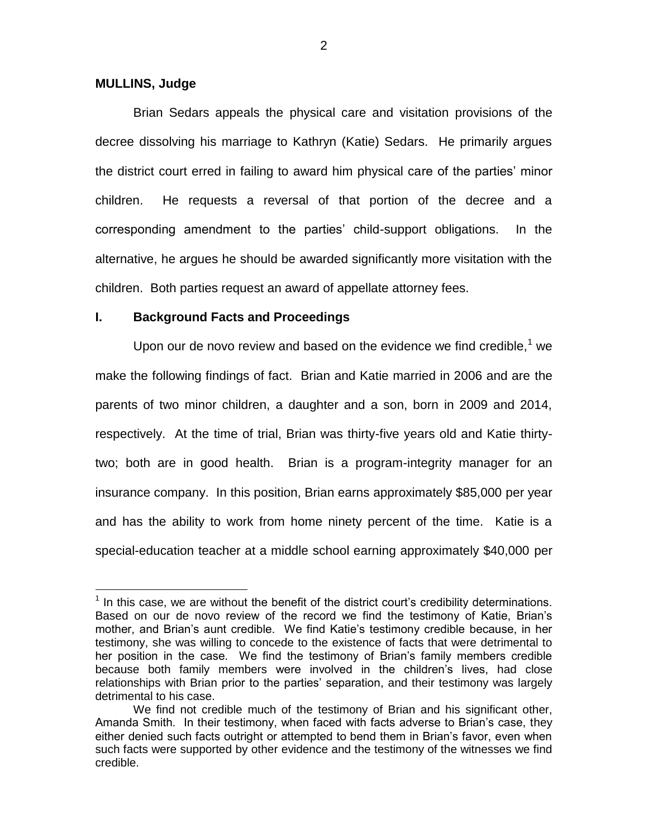### **MULLINS, Judge**

 $\overline{a}$ 

Brian Sedars appeals the physical care and visitation provisions of the decree dissolving his marriage to Kathryn (Katie) Sedars. He primarily argues the district court erred in failing to award him physical care of the parties' minor children. He requests a reversal of that portion of the decree and a corresponding amendment to the parties' child-support obligations. In the alternative, he argues he should be awarded significantly more visitation with the children. Both parties request an award of appellate attorney fees.

### **I. Background Facts and Proceedings**

Upon our de novo review and based on the evidence we find credible, $<sup>1</sup>$  we</sup> make the following findings of fact. Brian and Katie married in 2006 and are the parents of two minor children, a daughter and a son, born in 2009 and 2014, respectively. At the time of trial, Brian was thirty-five years old and Katie thirtytwo; both are in good health. Brian is a program-integrity manager for an insurance company. In this position, Brian earns approximately \$85,000 per year and has the ability to work from home ninety percent of the time. Katie is a special-education teacher at a middle school earning approximately \$40,000 per

 $<sup>1</sup>$  In this case, we are without the benefit of the district court's credibility determinations.</sup> Based on our de novo review of the record we find the testimony of Katie, Brian's mother, and Brian's aunt credible. We find Katie's testimony credible because, in her testimony, she was willing to concede to the existence of facts that were detrimental to her position in the case. We find the testimony of Brian's family members credible because both family members were involved in the children's lives, had close relationships with Brian prior to the parties' separation, and their testimony was largely detrimental to his case.

We find not credible much of the testimony of Brian and his significant other, Amanda Smith. In their testimony, when faced with facts adverse to Brian's case, they either denied such facts outright or attempted to bend them in Brian's favor, even when such facts were supported by other evidence and the testimony of the witnesses we find credible.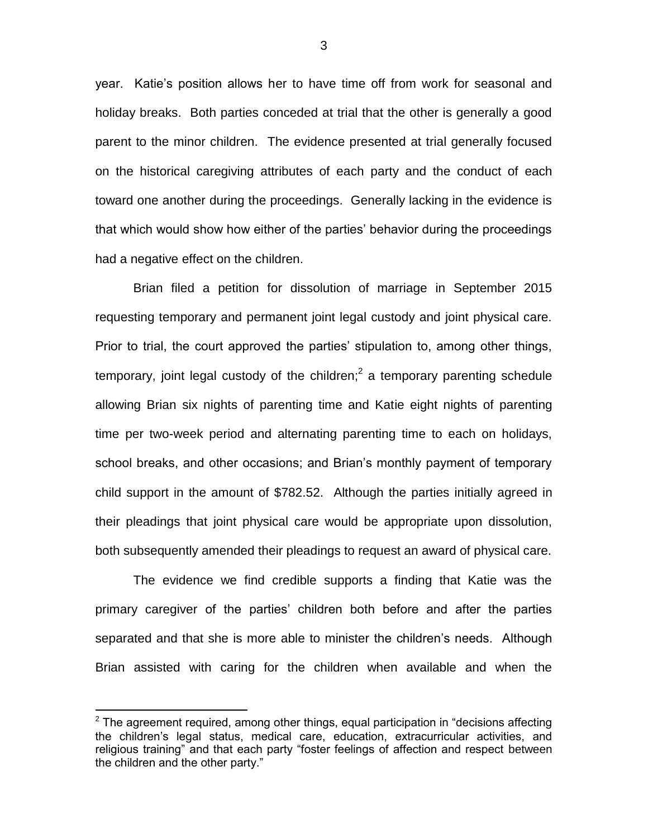year. Katie's position allows her to have time off from work for seasonal and holiday breaks. Both parties conceded at trial that the other is generally a good parent to the minor children. The evidence presented at trial generally focused on the historical caregiving attributes of each party and the conduct of each toward one another during the proceedings. Generally lacking in the evidence is that which would show how either of the parties' behavior during the proceedings had a negative effect on the children.

Brian filed a petition for dissolution of marriage in September 2015 requesting temporary and permanent joint legal custody and joint physical care. Prior to trial, the court approved the parties' stipulation to, among other things, temporary, joint legal custody of the children;<sup>2</sup> a temporary parenting schedule allowing Brian six nights of parenting time and Katie eight nights of parenting time per two-week period and alternating parenting time to each on holidays, school breaks, and other occasions; and Brian's monthly payment of temporary child support in the amount of \$782.52. Although the parties initially agreed in their pleadings that joint physical care would be appropriate upon dissolution, both subsequently amended their pleadings to request an award of physical care.

The evidence we find credible supports a finding that Katie was the primary caregiver of the parties' children both before and after the parties separated and that she is more able to minister the children's needs. Although Brian assisted with caring for the children when available and when the

 $2$  The agreement required, among other things, equal participation in "decisions affecting the children's legal status, medical care, education, extracurricular activities, and religious training" and that each party "foster feelings of affection and respect between the children and the other party."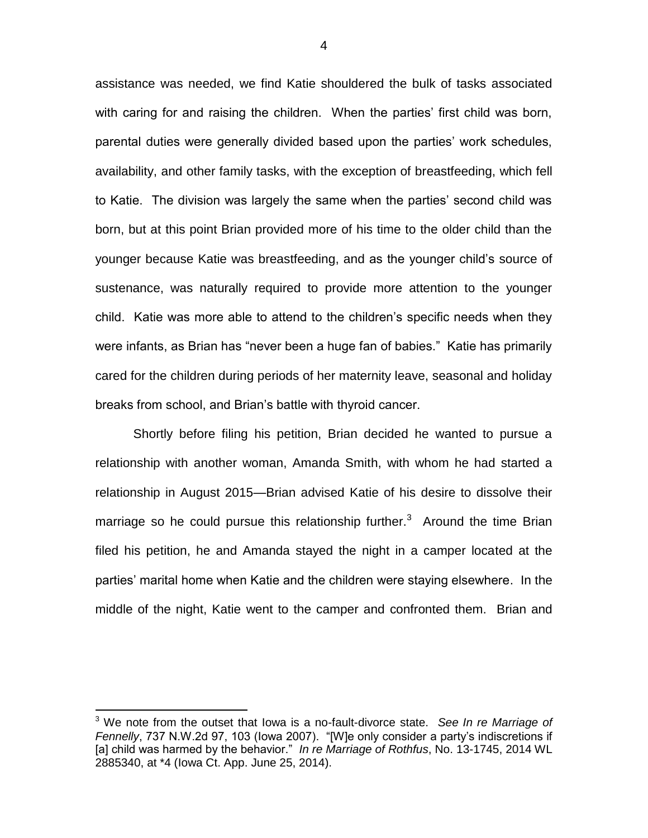assistance was needed, we find Katie shouldered the bulk of tasks associated with caring for and raising the children. When the parties' first child was born, parental duties were generally divided based upon the parties' work schedules, availability, and other family tasks, with the exception of breastfeeding, which fell to Katie. The division was largely the same when the parties' second child was born, but at this point Brian provided more of his time to the older child than the younger because Katie was breastfeeding, and as the younger child's source of sustenance, was naturally required to provide more attention to the younger child. Katie was more able to attend to the children's specific needs when they were infants, as Brian has "never been a huge fan of babies." Katie has primarily cared for the children during periods of her maternity leave, seasonal and holiday breaks from school, and Brian's battle with thyroid cancer.

Shortly before filing his petition, Brian decided he wanted to pursue a relationship with another woman, Amanda Smith, with whom he had started a relationship in August 2015—Brian advised Katie of his desire to dissolve their marriage so he could pursue this relationship further.<sup>3</sup> Around the time Brian filed his petition, he and Amanda stayed the night in a camper located at the parties' marital home when Katie and the children were staying elsewhere. In the middle of the night, Katie went to the camper and confronted them. Brian and

 $\overline{a}$ 

<sup>3</sup> We note from the outset that Iowa is a no-fault-divorce state. *See In re Marriage of Fennelly*, 737 N.W.2d 97, 103 (Iowa 2007). "[W]e only consider a party's indiscretions if [a] child was harmed by the behavior." *In re Marriage of Rothfus*, No. 13-1745, 2014 WL 2885340, at \*4 (Iowa Ct. App. June 25, 2014).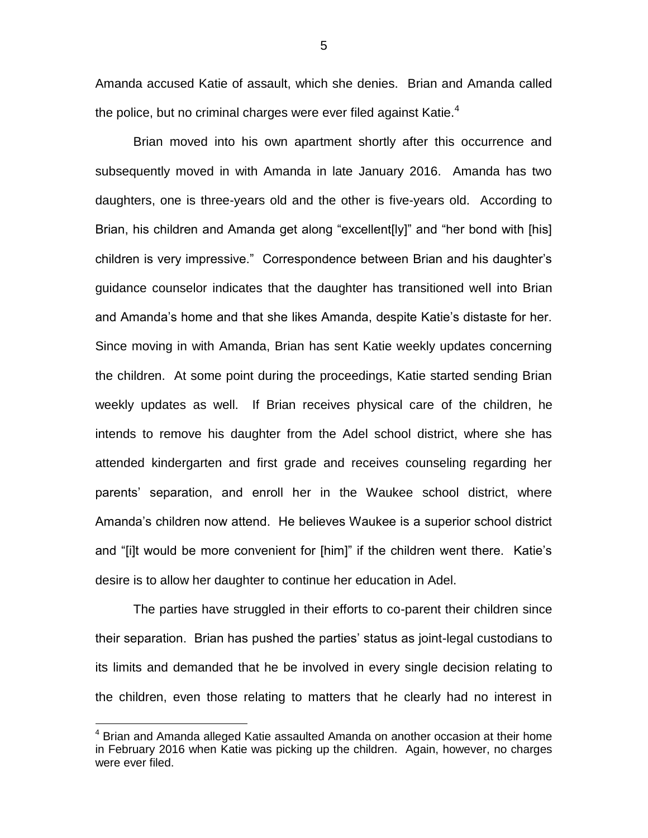Amanda accused Katie of assault, which she denies. Brian and Amanda called the police, but no criminal charges were ever filed against Katie.<sup>4</sup>

Brian moved into his own apartment shortly after this occurrence and subsequently moved in with Amanda in late January 2016. Amanda has two daughters, one is three-years old and the other is five-years old. According to Brian, his children and Amanda get along "excellent[ly]" and "her bond with [his] children is very impressive." Correspondence between Brian and his daughter's guidance counselor indicates that the daughter has transitioned well into Brian and Amanda's home and that she likes Amanda, despite Katie's distaste for her. Since moving in with Amanda, Brian has sent Katie weekly updates concerning the children. At some point during the proceedings, Katie started sending Brian weekly updates as well. If Brian receives physical care of the children, he intends to remove his daughter from the Adel school district, where she has attended kindergarten and first grade and receives counseling regarding her parents' separation, and enroll her in the Waukee school district, where Amanda's children now attend. He believes Waukee is a superior school district and "[i]t would be more convenient for [him]" if the children went there. Katie's desire is to allow her daughter to continue her education in Adel.

The parties have struggled in their efforts to co-parent their children since their separation. Brian has pushed the parties' status as joint-legal custodians to its limits and demanded that he be involved in every single decision relating to the children, even those relating to matters that he clearly had no interest in

 $4$  Brian and Amanda alleged Katie assaulted Amanda on another occasion at their home in February 2016 when Katie was picking up the children. Again, however, no charges were ever filed.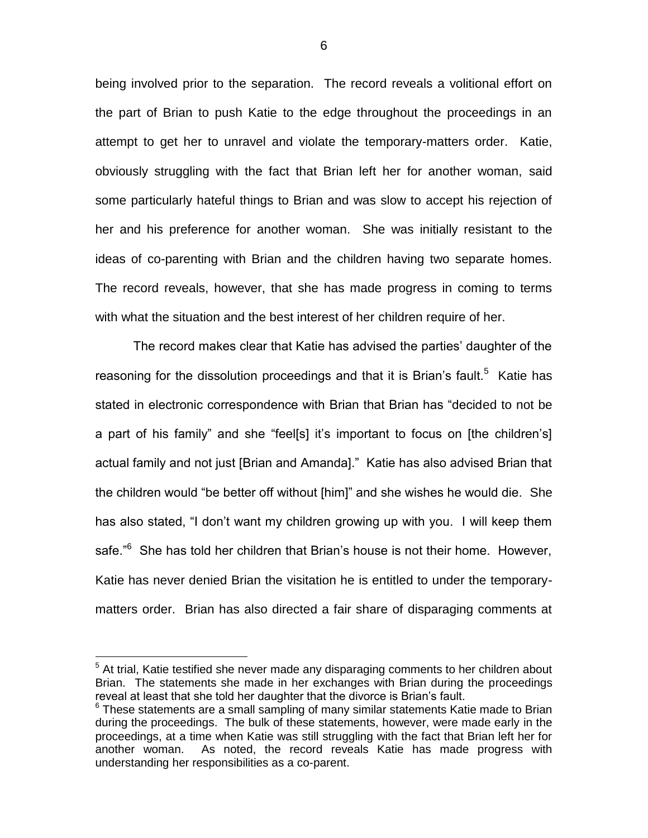being involved prior to the separation. The record reveals a volitional effort on the part of Brian to push Katie to the edge throughout the proceedings in an attempt to get her to unravel and violate the temporary-matters order. Katie, obviously struggling with the fact that Brian left her for another woman, said some particularly hateful things to Brian and was slow to accept his rejection of her and his preference for another woman. She was initially resistant to the ideas of co-parenting with Brian and the children having two separate homes. The record reveals, however, that she has made progress in coming to terms with what the situation and the best interest of her children require of her.

The record makes clear that Katie has advised the parties' daughter of the reasoning for the dissolution proceedings and that it is Brian's fault.<sup>5</sup> Katie has stated in electronic correspondence with Brian that Brian has "decided to not be a part of his family" and she "feel[s] it's important to focus on [the children's] actual family and not just [Brian and Amanda]." Katie has also advised Brian that the children would "be better off without [him]" and she wishes he would die. She has also stated, "I don't want my children growing up with you. I will keep them safe."<sup>6</sup> She has told her children that Brian's house is not their home. However, Katie has never denied Brian the visitation he is entitled to under the temporarymatters order. Brian has also directed a fair share of disparaging comments at

 $5$  At trial, Katie testified she never made any disparaging comments to her children about Brian. The statements she made in her exchanges with Brian during the proceedings reveal at least that she told her daughter that the divorce is Brian's fault.

 $6$  These statements are a small sampling of many similar statements Katie made to Brian during the proceedings. The bulk of these statements, however, were made early in the proceedings, at a time when Katie was still struggling with the fact that Brian left her for another woman. As noted, the record reveals Katie has made progress with understanding her responsibilities as a co-parent.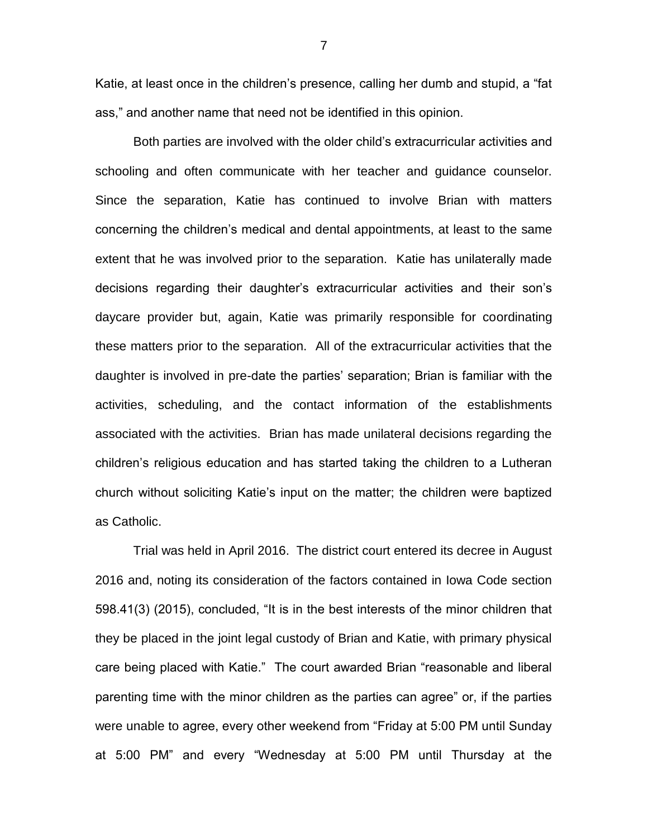Katie, at least once in the children's presence, calling her dumb and stupid, a "fat ass," and another name that need not be identified in this opinion.

Both parties are involved with the older child's extracurricular activities and schooling and often communicate with her teacher and guidance counselor. Since the separation, Katie has continued to involve Brian with matters concerning the children's medical and dental appointments, at least to the same extent that he was involved prior to the separation. Katie has unilaterally made decisions regarding their daughter's extracurricular activities and their son's daycare provider but, again, Katie was primarily responsible for coordinating these matters prior to the separation. All of the extracurricular activities that the daughter is involved in pre-date the parties' separation; Brian is familiar with the activities, scheduling, and the contact information of the establishments associated with the activities. Brian has made unilateral decisions regarding the children's religious education and has started taking the children to a Lutheran church without soliciting Katie's input on the matter; the children were baptized as Catholic.

Trial was held in April 2016. The district court entered its decree in August 2016 and, noting its consideration of the factors contained in Iowa Code section 598.41(3) (2015), concluded, "It is in the best interests of the minor children that they be placed in the joint legal custody of Brian and Katie, with primary physical care being placed with Katie." The court awarded Brian "reasonable and liberal parenting time with the minor children as the parties can agree" or, if the parties were unable to agree, every other weekend from "Friday at 5:00 PM until Sunday at 5:00 PM" and every "Wednesday at 5:00 PM until Thursday at the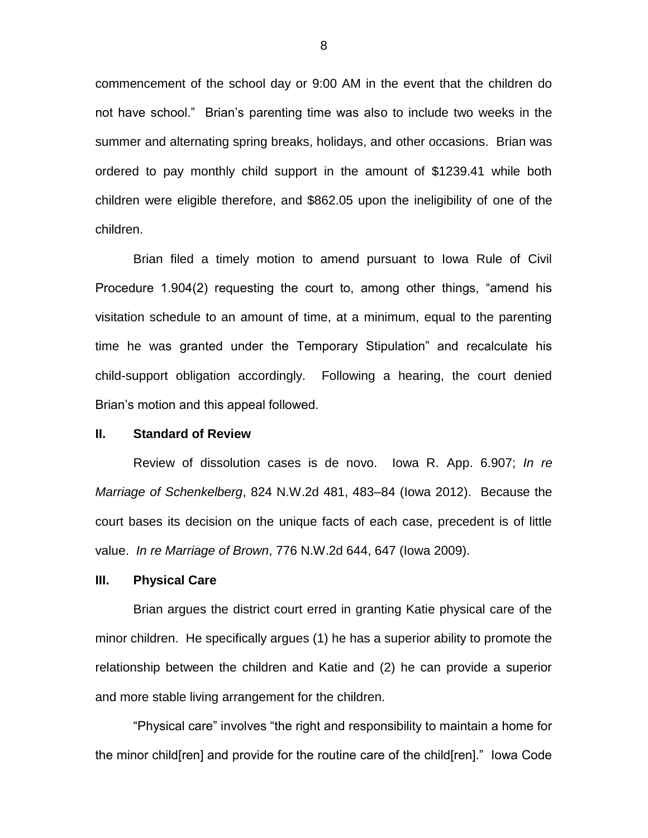commencement of the school day or 9:00 AM in the event that the children do not have school." Brian's parenting time was also to include two weeks in the summer and alternating spring breaks, holidays, and other occasions. Brian was ordered to pay monthly child support in the amount of \$1239.41 while both children were eligible therefore, and \$862.05 upon the ineligibility of one of the children.

Brian filed a timely motion to amend pursuant to Iowa Rule of Civil Procedure 1.904(2) requesting the court to, among other things, "amend his visitation schedule to an amount of time, at a minimum, equal to the parenting time he was granted under the Temporary Stipulation" and recalculate his child-support obligation accordingly. Following a hearing, the court denied Brian's motion and this appeal followed.

#### **II. Standard of Review**

Review of dissolution cases is de novo. Iowa R. App. 6.907; *In re Marriage of Schenkelberg*, 824 N.W.2d 481, 483–84 (Iowa 2012). Because the court bases its decision on the unique facts of each case, precedent is of little value. *In re Marriage of Brown*, 776 N.W.2d 644, 647 (Iowa 2009).

## **III. Physical Care**

Brian argues the district court erred in granting Katie physical care of the minor children. He specifically argues (1) he has a superior ability to promote the relationship between the children and Katie and (2) he can provide a superior and more stable living arrangement for the children.

"Physical care" involves "the right and responsibility to maintain a home for the minor child[ren] and provide for the routine care of the child[ren]." Iowa Code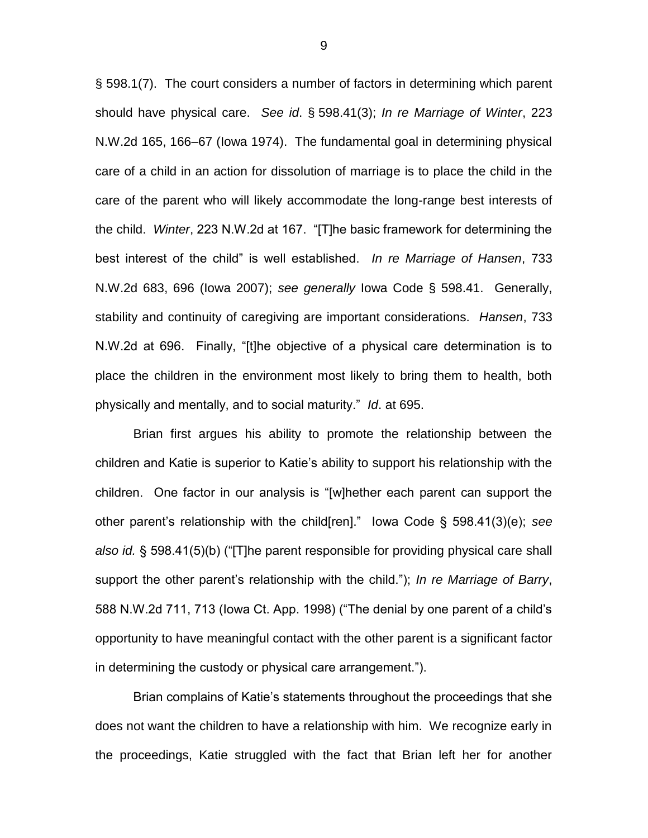§ 598.1(7). The court considers a number of factors in determining which parent should have physical care. *See id*. § 598.41(3); *In re Marriage of Winter*, 223 N.W.2d 165, 166–67 (Iowa 1974). The fundamental goal in determining physical care of a child in an action for dissolution of marriage is to place the child in the care of the parent who will likely accommodate the long-range best interests of the child. *Winter*, 223 N.W.2d at 167. "[T]he basic framework for determining the best interest of the child" is well established. *In re Marriage of Hansen*, 733 N.W.2d 683, 696 (Iowa 2007); *see generally* Iowa Code § 598.41. Generally, stability and continuity of caregiving are important considerations. *Hansen*, 733 N.W.2d at 696. Finally, "[t]he objective of a physical care determination is to place the children in the environment most likely to bring them to health, both physically and mentally, and to social maturity." *Id*. at 695.

Brian first argues his ability to promote the relationship between the children and Katie is superior to Katie's ability to support his relationship with the children. One factor in our analysis is "[w]hether each parent can support the other parent's relationship with the child[ren]." Iowa Code § 598.41(3)(e); *see also id.* § 598.41(5)(b) ("[T]he parent responsible for providing physical care shall support the other parent's relationship with the child."); *In re Marriage of Barry*, 588 N.W.2d 711, 713 (Iowa Ct. App. 1998) ("The denial by one parent of a child's opportunity to have meaningful contact with the other parent is a significant factor in determining the custody or physical care arrangement.").

Brian complains of Katie's statements throughout the proceedings that she does not want the children to have a relationship with him. We recognize early in the proceedings, Katie struggled with the fact that Brian left her for another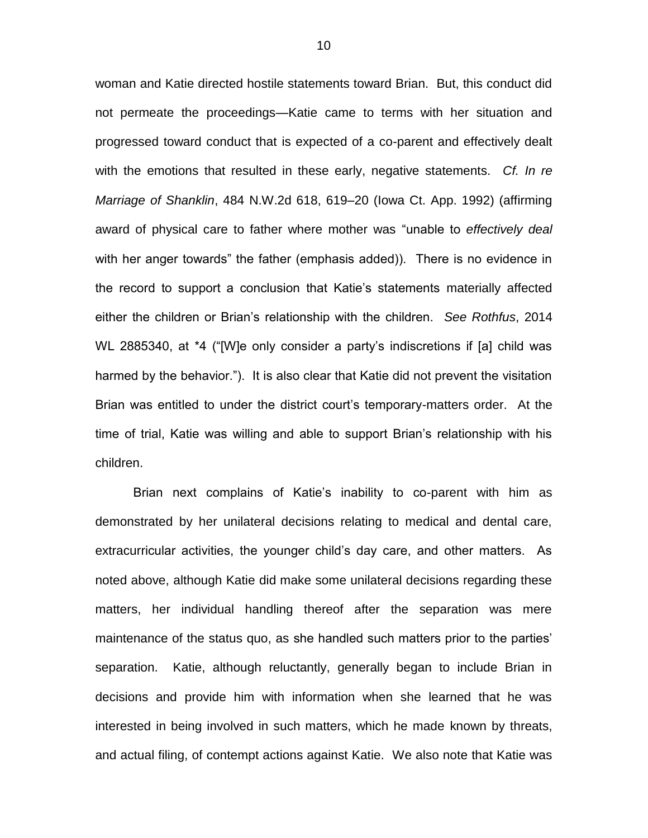woman and Katie directed hostile statements toward Brian. But, this conduct did not permeate the proceedings—Katie came to terms with her situation and progressed toward conduct that is expected of a co-parent and effectively dealt with the emotions that resulted in these early, negative statements. *Cf. In re Marriage of Shanklin*, 484 N.W.2d 618, 619–20 (Iowa Ct. App. 1992) (affirming award of physical care to father where mother was "unable to *effectively deal* with her anger towards" the father (emphasis added)). There is no evidence in the record to support a conclusion that Katie's statements materially affected either the children or Brian's relationship with the children. *See Rothfus*, 2014 WL 2885340, at \*4 ("[W]e only consider a party's indiscretions if [a] child was harmed by the behavior."). It is also clear that Katie did not prevent the visitation Brian was entitled to under the district court's temporary-matters order. At the time of trial, Katie was willing and able to support Brian's relationship with his children.

Brian next complains of Katie's inability to co-parent with him as demonstrated by her unilateral decisions relating to medical and dental care, extracurricular activities, the younger child's day care, and other matters. As noted above, although Katie did make some unilateral decisions regarding these matters, her individual handling thereof after the separation was mere maintenance of the status quo, as she handled such matters prior to the parties' separation. Katie, although reluctantly, generally began to include Brian in decisions and provide him with information when she learned that he was interested in being involved in such matters, which he made known by threats, and actual filing, of contempt actions against Katie. We also note that Katie was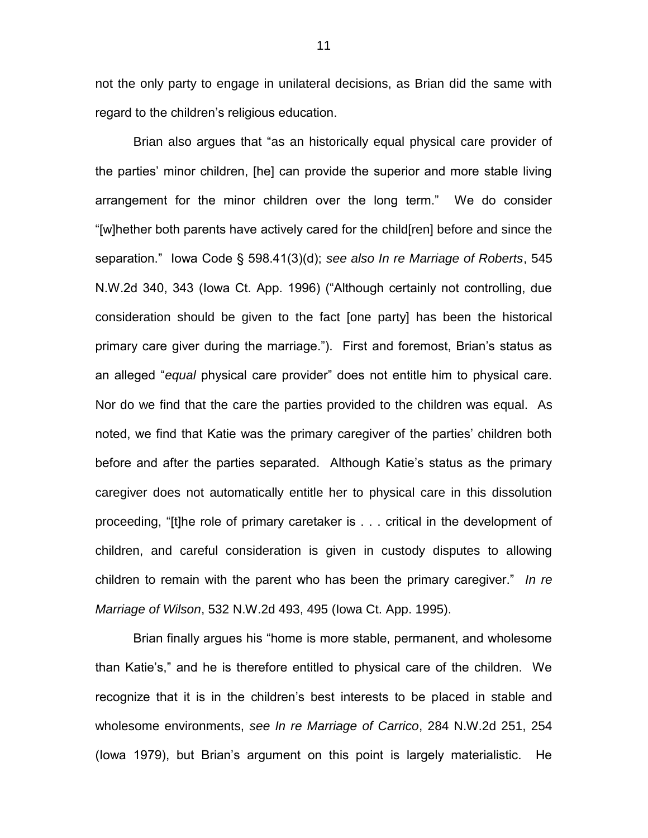not the only party to engage in unilateral decisions, as Brian did the same with regard to the children's religious education.

Brian also argues that "as an historically equal physical care provider of the parties' minor children, [he] can provide the superior and more stable living arrangement for the minor children over the long term." We do consider "[w]hether both parents have actively cared for the child[ren] before and since the separation." Iowa Code § 598.41(3)(d); *see also In re Marriage of Roberts*, 545 N.W.2d 340, 343 (Iowa Ct. App. 1996) ("Although certainly not controlling, due consideration should be given to the fact [one party] has been the historical primary care giver during the marriage."). First and foremost, Brian's status as an alleged "*equal* physical care provider" does not entitle him to physical care. Nor do we find that the care the parties provided to the children was equal. As noted, we find that Katie was the primary caregiver of the parties' children both before and after the parties separated. Although Katie's status as the primary caregiver does not automatically entitle her to physical care in this dissolution proceeding, "[t]he role of primary caretaker is . . . critical in the development of children, and careful consideration is given in custody disputes to allowing children to remain with the parent who has been the primary caregiver." *In re Marriage of Wilson*, 532 N.W.2d 493, 495 (Iowa Ct. App. 1995).

Brian finally argues his "home is more stable, permanent, and wholesome than Katie's," and he is therefore entitled to physical care of the children. We recognize that it is in the children's best interests to be placed in stable and wholesome environments, *see In re Marriage of Carrico*, 284 N.W.2d 251, 254 (Iowa 1979), but Brian's argument on this point is largely materialistic. He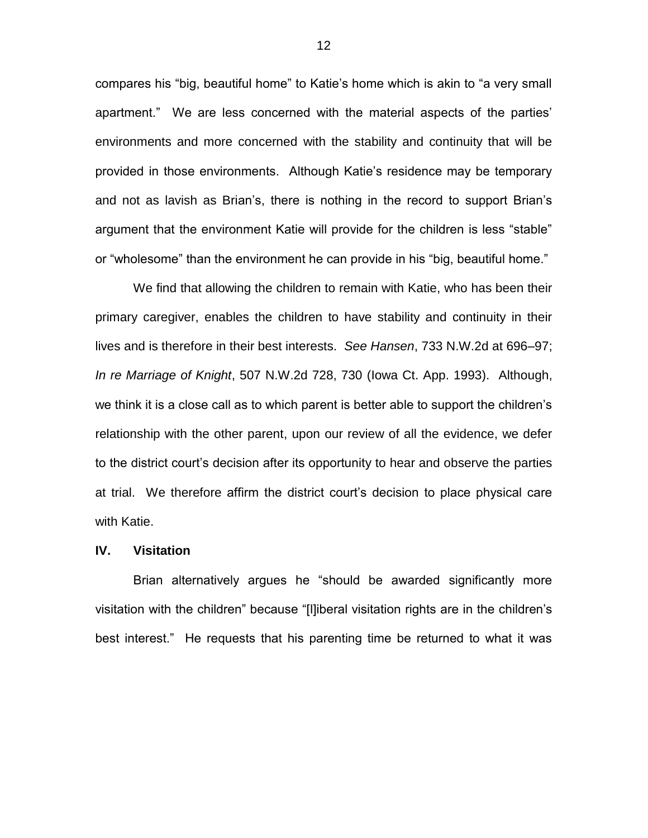compares his "big, beautiful home" to Katie's home which is akin to "a very small apartment." We are less concerned with the material aspects of the parties' environments and more concerned with the stability and continuity that will be provided in those environments. Although Katie's residence may be temporary and not as lavish as Brian's, there is nothing in the record to support Brian's argument that the environment Katie will provide for the children is less "stable" or "wholesome" than the environment he can provide in his "big, beautiful home."

We find that allowing the children to remain with Katie, who has been their primary caregiver, enables the children to have stability and continuity in their lives and is therefore in their best interests. *See Hansen*, 733 N.W.2d at 696–97; *In re Marriage of Knight*, 507 N.W.2d 728, 730 (Iowa Ct. App. 1993). Although, we think it is a close call as to which parent is better able to support the children's relationship with the other parent, upon our review of all the evidence, we defer to the district court's decision after its opportunity to hear and observe the parties at trial. We therefore affirm the district court's decision to place physical care with Katie.

#### **IV. Visitation**

Brian alternatively argues he "should be awarded significantly more visitation with the children" because "[l]iberal visitation rights are in the children's best interest." He requests that his parenting time be returned to what it was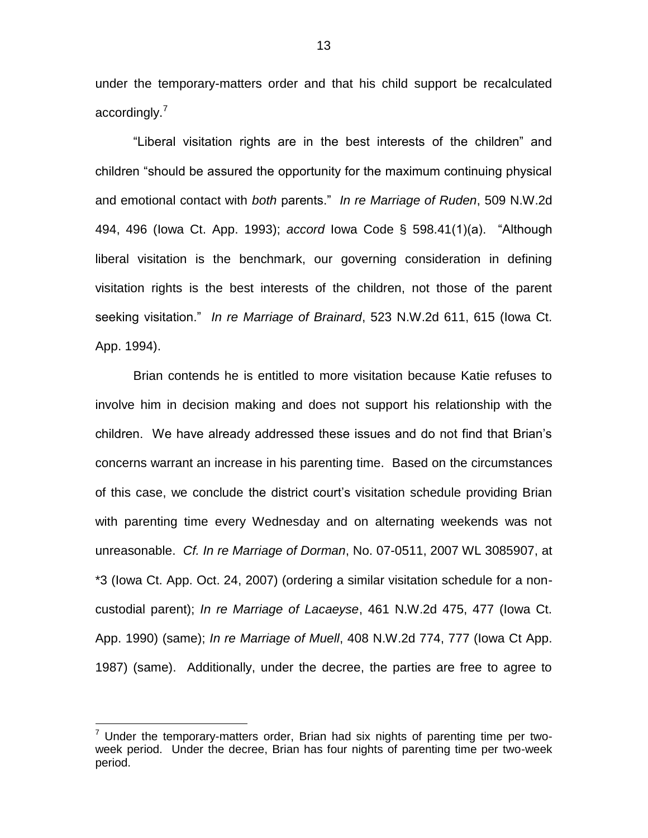under the temporary-matters order and that his child support be recalculated accordingly.<sup>7</sup>

"Liberal visitation rights are in the best interests of the children" and children "should be assured the opportunity for the maximum continuing physical and emotional contact with *both* parents." *In re Marriage of Ruden*, 509 N.W.2d 494, 496 (Iowa Ct. App. 1993); *accord* Iowa Code § 598.41(1)(a). "Although liberal visitation is the benchmark, our governing consideration in defining visitation rights is the best interests of the children, not those of the parent seeking visitation." *In re Marriage of Brainard*, 523 N.W.2d 611, 615 (Iowa Ct. App. 1994).

Brian contends he is entitled to more visitation because Katie refuses to involve him in decision making and does not support his relationship with the children. We have already addressed these issues and do not find that Brian's concerns warrant an increase in his parenting time. Based on the circumstances of this case, we conclude the district court's visitation schedule providing Brian with parenting time every Wednesday and on alternating weekends was not unreasonable. *Cf. In re Marriage of Dorman*, No. 07-0511, 2007 WL 3085907, at \*3 (Iowa Ct. App. Oct. 24, 2007) (ordering a similar visitation schedule for a noncustodial parent); *In re Marriage of Lacaeyse*, 461 N.W.2d 475, 477 (Iowa Ct. App. 1990) (same); *In re Marriage of Muell*, 408 N.W.2d 774, 777 (Iowa Ct App. 1987) (same). Additionally, under the decree, the parties are free to agree to

 $7$  Under the temporary-matters order, Brian had six nights of parenting time per twoweek period. Under the decree, Brian has four nights of parenting time per two-week period.